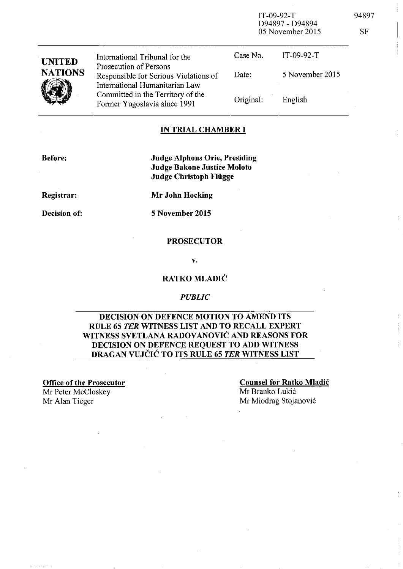| <b>UNITED</b><br><b>NATIONS</b> | International Tribunal for the                                                                    | Case No.  | IT-09-92-T      |
|---------------------------------|---------------------------------------------------------------------------------------------------|-----------|-----------------|
|                                 | Prosecution of Persons<br>Responsible for Serious Violations of<br>International Humanitarian Law | Date:     | 5 November 2015 |
|                                 | Committed in the Territory of the<br>Former Yugoslavia since 1991                                 | Original: | English         |

### IN TRIAL CHAMBER **I**

Before:

Judge Alphons Orie, Presiding Judge Bakone Justice Moloto Judge Christoph Fliigge

Registrar:

Decision of:

Mr John Hocking

5 November 2015

#### PROSECUTOR

v.

### RATKO MLADIĆ

#### *PUBLIC*

## DECISION ON DEFENCE MOTION TO AMEND ITS RULE 65 *TER* WITNESS LIST AND TO RECALL EXPERT WITNESS SVETLANA RADOVANOVIC AND REASONS FOR DECISION ON DEFENCE REQUEST TO ADD WITNESS DRAGAN VUJCIC TO ITS RULE 65 *TER* WITNESS LIST

Office of the Prosecutor

Mr Peter McCloskey

Counsel for Ratko Mladic Mr Branko Lukic Mr Alan Tieger Mr Miodrag Stojanović

IT-09-92-T 94897

05 November 2015 SF

D94897 - D94894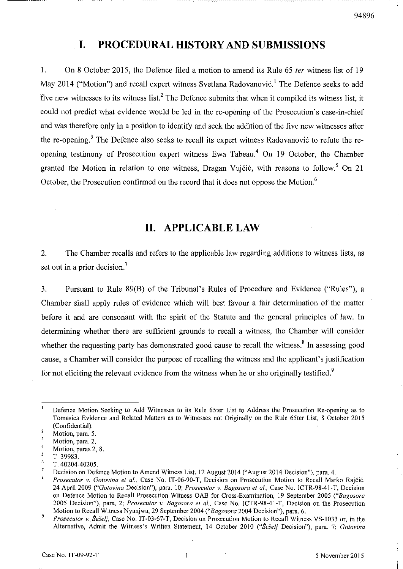# **I. PROCEDURAL HISTORY AND SUBMISSIONS**

1. On 8 October 2015, the Defence filed a motion to amend its Rule 65 fer witness list of 19 May 2014 ("Motion") and recall expert witness Svetlana Radovanović.<sup>1</sup> The Defence seeks to add five new witnesses to its witness list.<sup>2</sup> The Defence submits that when it compiled its witness list, it could not predict what evidence would be led in the re-opening of the Prosecution's case-in-chief and was therefore only in a position to identify and seek the addition of the five new witnesses after the re-opening.<sup>3</sup> The Defence also seeks to recall its expert witness Radovanović to refute the reopening testimony of Prosecution expert witness Ewa Tabeau.<sup>4</sup> On 19 October, the Chamber granted the Motion in relation to one witness, Dragan Vujčić, with reasons to follow.<sup>5</sup> On 21 October, the Prosecution confirmed on the record that it does not oppose the Motion. <sup>6</sup>

# **II. APPLICABLE LAW**

2. The Chamber recalls and refers to the applicable law regarding additions to witness lists, as set out in a prior decision.<sup>7</sup>

3. Pursuant to Rule 89(B) of the Tribunal's Rules of Procedure and Evidence ("Rules"), a Chamber shall apply rules of evidence which will best favour a fair determination of the matter before it and are consonant with the spirit of the Statute and the general principles of law. **In**  detennining whether there are sufficient grounds to recall a witness, the Chamber will consider whether the requesting party has demonstrated good cause to recall the witness.<sup>8</sup> In assessing good cause, a Chamber will consider the purpose of recalling the witness and the applicant's justification for not eliciting the relevant evidence from the witness when he or she originally testified.<sup>9</sup>

Defence Motion Seeking to Add Witnesses to its Rule 65ter List to Address the Prosecution Re-opening as to Tomasica Evidence and Related Matters as to Witnesses not Originally on the Rule 65ter List, 8 October 2015 (Confidential).

 $\overline{2}$ **Motion, para. 5.** 

 $\overline{3}$ Motion, para. 2.

<sup>4</sup>  **Motion, paras 2, 8.** 

 $\overline{\mathbf{5}}$ *T.39983.* 

<sup>6</sup>  T.40204-40205.

 $\overline{7}$ Decision on Defence Motion to Amend Witness List, 12 August 2014 ("August 2014 Decision"), para. 4.

 $\mathbf{a}$ *Prosecutor v. Gotovina et al., Case No. IT-06-90-T, Decision on Prosecution Motion to Recall Marko Rajčić,* 24 April 2009 *("Gotoyina Decision")*, para. 10; *Prosecutor v. Bagosora et al.*, Case No. ICTR-98-41-T, Decision on Defence Motion to Recall Prosecution Witness OAB for Cross-Examination, 19 September 2005 *("Bagosora*  2005 Decision"), para. 2; *Prosecutor v. Bagosora et al.*, Case No. ICTR-98-41-T, Decision on the Prosecution Motion to Recall Witness Nyanjwa, 29 September 2004 *("Bagosora* 2004 Decision"), para. 6.

 $\overline{9}$ *Prosecutor v. Šešelj, Case No. IT-03-67-T, Decision on Prosecution Motion to Recall Witness VS-1033 or, in the* Alternative, Admit the Witness's Written Statement, 14 October 2010 *("Seselj* Decision"), para. 7; *Gotovina*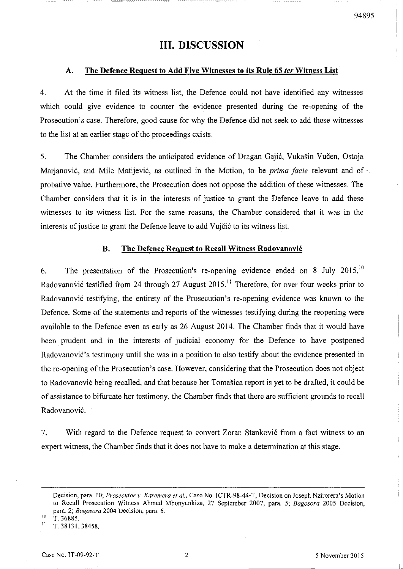# **III. DISCUSSION**

#### A. The Defence Request to Add Five Witnesses to its Rule 6S *ter* Witness List

4. At the time it filed its witness list, the Defence could not have identified any witnesses which could give evidence to counter the evidence presented during the re-opening of the Prosecution's case. Therefore, good cause for why the Defence did not seek to add these witnesses to the list at an earlier stage of the proceedings exists.

5. The Chamber considers the anticipated evidence of Dragan Gaji6, Vukasin Vucen, Ostoja Marjanović, and Mile Matijević, as outlined in the Motion, to be *prima facie* relevant and of probative value. Furthermore, the Prosecution does not oppose the addition of these witnesses. The Chamber considers that it is in the interests of justice to grant the Defence leave to add these witnesses to its witness list. For the same reasons, the Chamber considered that it was in the interests of justice to grant the Defence leave to add Vujčić to its witness list.

### B. The Defence Request to Recall Witness Radovanovic

6. The presentation of the Prosecution's re-opening evidence ended on 8 July  $2015$ .<sup>10</sup> Radovanović testified from 24 through 27 August 2015.<sup>11</sup> Therefore, for over four weeks prior to Radovanović testifying, the entirety of the Prosecution's re-opening evidence was known to the Defence. Some of the statements and reports of the witnesses testifying during the reopening were available to the Defence even as early as 26 August 2014. The Chamber finds that it would have been prudent and in the interests of judicial economy for the Defence to have postponed Radovanović's testimony until she was in a position to also testify about the evidence presented in the re-opening of the Prosecution's case. However, considering that the Prosecution does not object to Radovanovi6 being recalled, and that because her Tomasica report is yet to be drafted, it could be of assistance to bifurcate her testimony, the Chamber finds that there are sufficient grounds to recall Radovanovi6.

7. With regard to the Defence request to convert Zoran Stankovi6 from a fact witness to an expert witness, the Chamber finds that it does not have to make a determination at this stage.

<sup>10</sup>*T.36885.* 

Decision, para. 10; *Proseculor v. Karemera ef ai.,* Case No. lCTR-98-44-T, Decision on Joseph Nzirorera's Motion to Recall Prosecution Witness Ahmed Mbonyunkiza, 27 September 2007, para. 5; *Bagosora* 2005 Decision, para. 2; *Bagosora* 2004 Decision, para. 6.

<sup>11</sup>*T.38131,38458.*